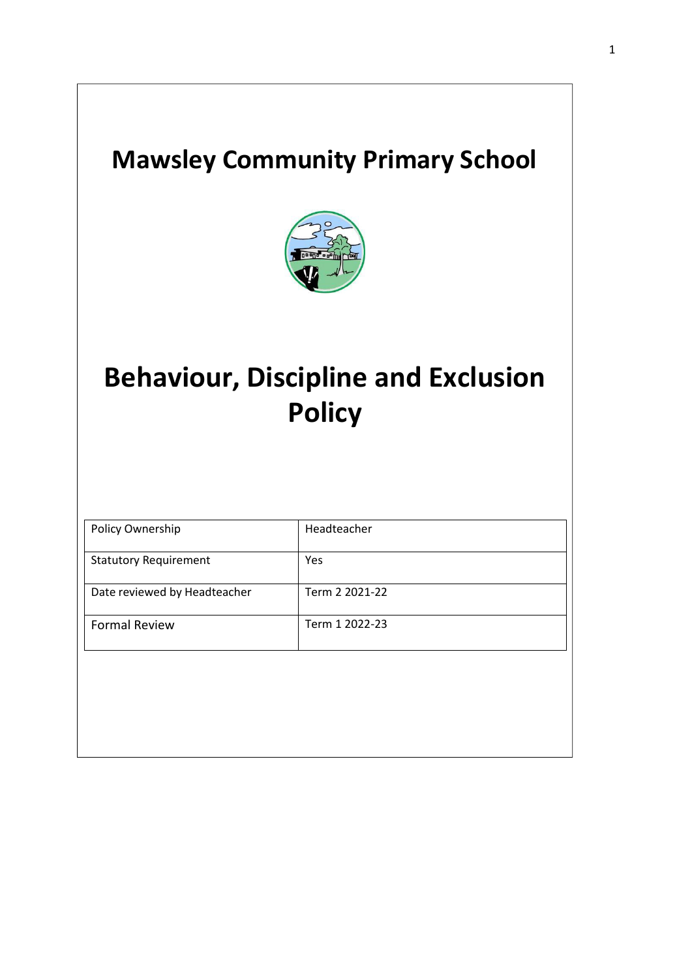## **Mawsley Community Primary School**



# **Behaviour, Discipline and Exclusion Policy**

| Policy Ownership             | Headteacher    |
|------------------------------|----------------|
| <b>Statutory Requirement</b> | Yes            |
| Date reviewed by Headteacher | Term 2 2021-22 |
| <b>Formal Review</b>         | Term 1 2022-23 |
|                              |                |
|                              |                |
|                              |                |
|                              |                |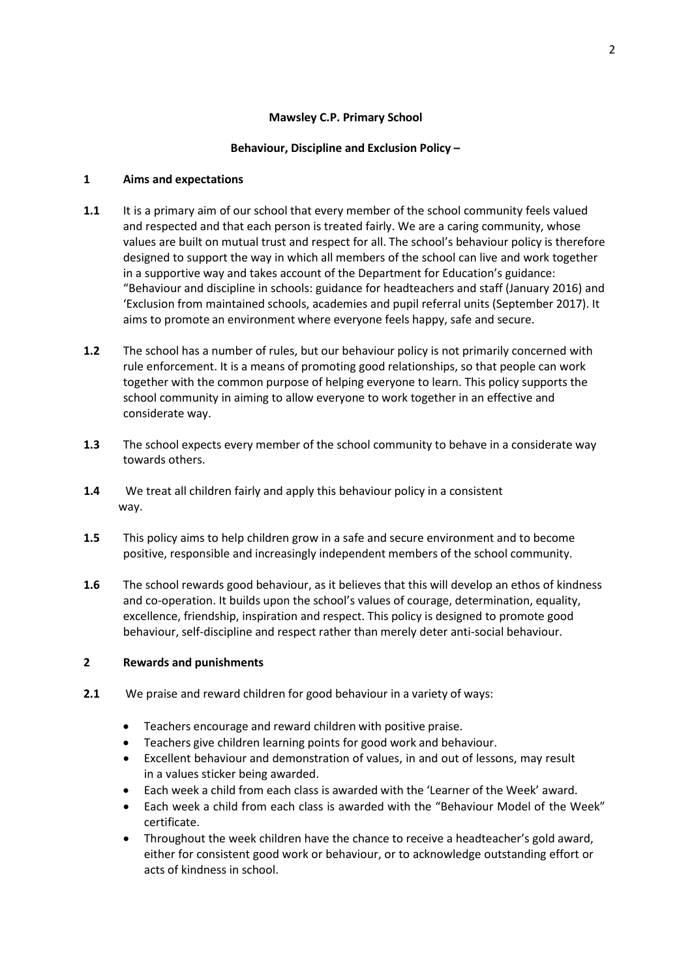## **Mawsley C.P. Primary School**

## **Behaviour, Discipline and Exclusion Policy –**

## **1 Aims and expectations**

- **1.1** It is a primary aim of our school that every member of the school community feels valued and respected and that each person is treated fairly. We are a caring community, whose values are built on mutual trust and respect for all. The school's behaviour policy is therefore designed to support the way in which all members of the school can live and work together in a supportive way and takes account of the Department for Education's guidance: "Behaviour and discipline in schools: guidance for headteachers and staff (January 2016) and 'Exclusion from maintained schools, academies and pupil referral units (September 2017). It aims to promote an environment where everyone feels happy, safe and secure.
- **1.2** The school has a number of rules, but our behaviour policy is not primarily concerned with rule enforcement. It is a means of promoting good relationships, so that people can work together with the common purpose of helping everyone to learn. This policy supports the school community in aiming to allow everyone to work together in an effective and considerate way.
- **1.3** The school expects every member of the school community to behave in a considerate way towards others.
- **1.4** We treat all children fairly and apply this behaviour policy in a consistent way.
- **1.5** This policy aims to help children grow in a safe and secure environment and to become positive, responsible and increasingly independent members of the school community.
- **1.6** The school rewards good behaviour, as it believes that this will develop an ethos of kindness and co-operation. It builds upon the school's values of courage, determination, equality, excellence, friendship, inspiration and respect. This policy is designed to promote good behaviour, self-discipline and respect rather than merely deter anti-social behaviour.

### **2 Rewards and punishments**

- **2.1** We praise and reward children for good behaviour in a variety of ways:
	- Teachers encourage and reward children with positive praise.
	- Teachers give children learning points for good work and behaviour.
	- Excellent behaviour and demonstration of values, in and out of lessons, may result in a values sticker being awarded.
	- Each week a child from each class is awarded with the 'Learner of the Week' award.
	- Each week a child from each class is awarded with the "Behaviour Model of the Week" certificate.
	- Throughout the week children have the chance to receive a headteacher's gold award, either for consistent good work or behaviour, or to acknowledge outstanding effort or acts of kindness in school.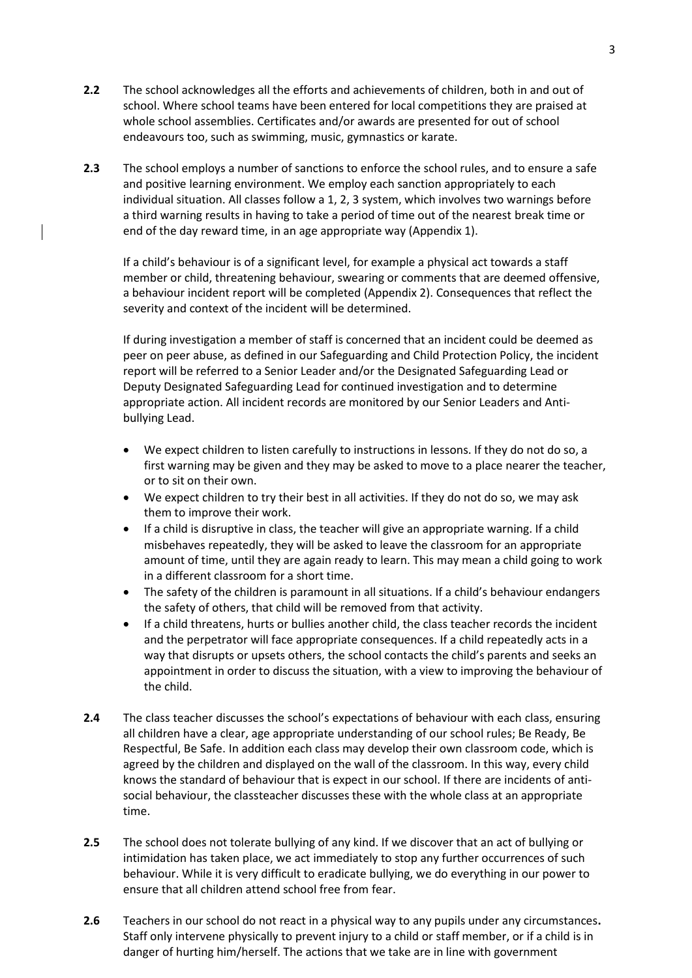- **2.2** The school acknowledges all the efforts and achievements of children, both in and out of school. Where school teams have been entered for local competitions they are praised at whole school assemblies. Certificates and/or awards are presented for out of school endeavours too, such as swimming, music, gymnastics or karate.
- **2.3** The school employs a number of sanctions to enforce the school rules, and to ensure a safe and positive learning environment. We employ each sanction appropriately to each individual situation. All classes follow a 1, 2, 3 system, which involves two warnings before a third warning results in having to take a period of time out of the nearest break time or end of the day reward time, in an age appropriate way (Appendix 1).

If a child's behaviour is of a significant level, for example a physical act towards a staff member or child, threatening behaviour, swearing or comments that are deemed offensive, a behaviour incident report will be completed (Appendix 2). Consequences that reflect the severity and context of the incident will be determined.

If during investigation a member of staff is concerned that an incident could be deemed as peer on peer abuse, as defined in our Safeguarding and Child Protection Policy, the incident report will be referred to a Senior Leader and/or the Designated Safeguarding Lead or Deputy Designated Safeguarding Lead for continued investigation and to determine appropriate action. All incident records are monitored by our Senior Leaders and Antibullying Lead.

- We expect children to listen carefully to instructions in lessons. If they do not do so, a first warning may be given and they may be asked to move to a place nearer the teacher, or to sit on their own.
- We expect children to try their best in all activities. If they do not do so, we may ask them to improve their work.
- If a child is disruptive in class, the teacher will give an appropriate warning. If a child misbehaves repeatedly, they will be asked to leave the classroom for an appropriate amount of time, until they are again ready to learn. This may mean a child going to work in a different classroom for a short time.
- The safety of the children is paramount in all situations. If a child's behaviour endangers the safety of others, that child will be removed from that activity.
- If a child threatens, hurts or bullies another child, the class teacher records the incident and the perpetrator will face appropriate consequences. If a child repeatedly acts in a way that disrupts or upsets others, the school contacts the child's parents and seeks an appointment in order to discuss the situation, with a view to improving the behaviour of the child.
- **2.4** The class teacher discusses the school's expectations of behaviour with each class, ensuring all children have a clear, age appropriate understanding of our school rules; Be Ready, Be Respectful, Be Safe. In addition each class may develop their own classroom code, which is agreed by the children and displayed on the wall of the classroom. In this way, every child knows the standard of behaviour that is expect in our school. If there are incidents of antisocial behaviour, the classteacher discusses these with the whole class at an appropriate time.
- **2.5** The school does not tolerate bullying of any kind. If we discover that an act of bullying or intimidation has taken place, we act immediately to stop any further occurrences of such behaviour. While it is very difficult to eradicate bullying, we do everything in our power to ensure that all children attend school free from fear.
- **2.6** Teachers in our school do not react in a physical way to any pupils under any circumstances**.** Staff only intervene physically to prevent injury to a child or staff member, or if a child is in danger of hurting him/herself. The actions that we take are in line with government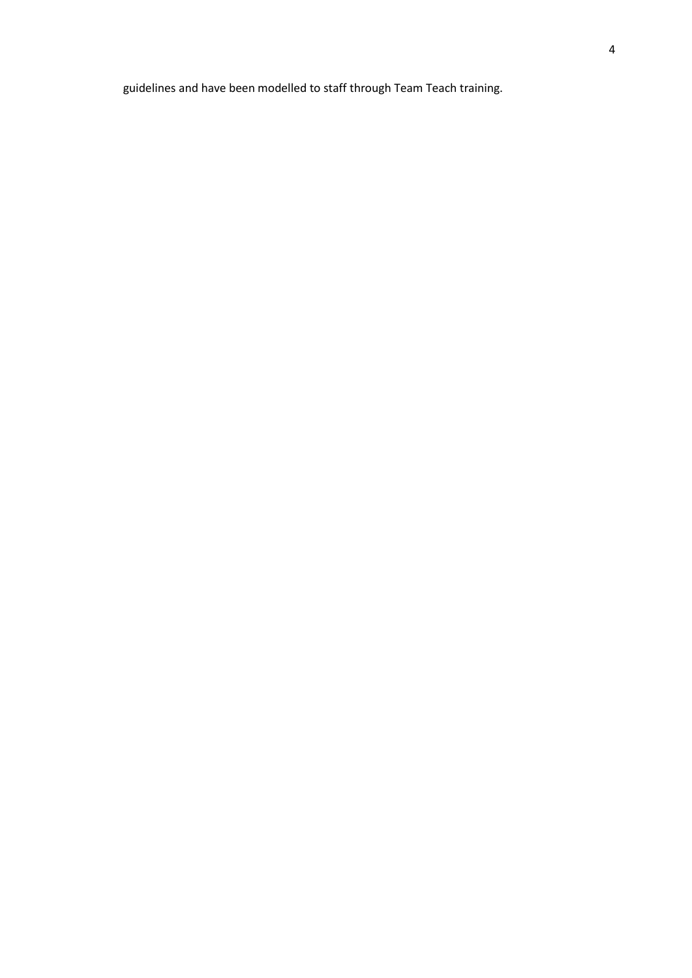guidelines and have been modelled to staff through Team Teach training.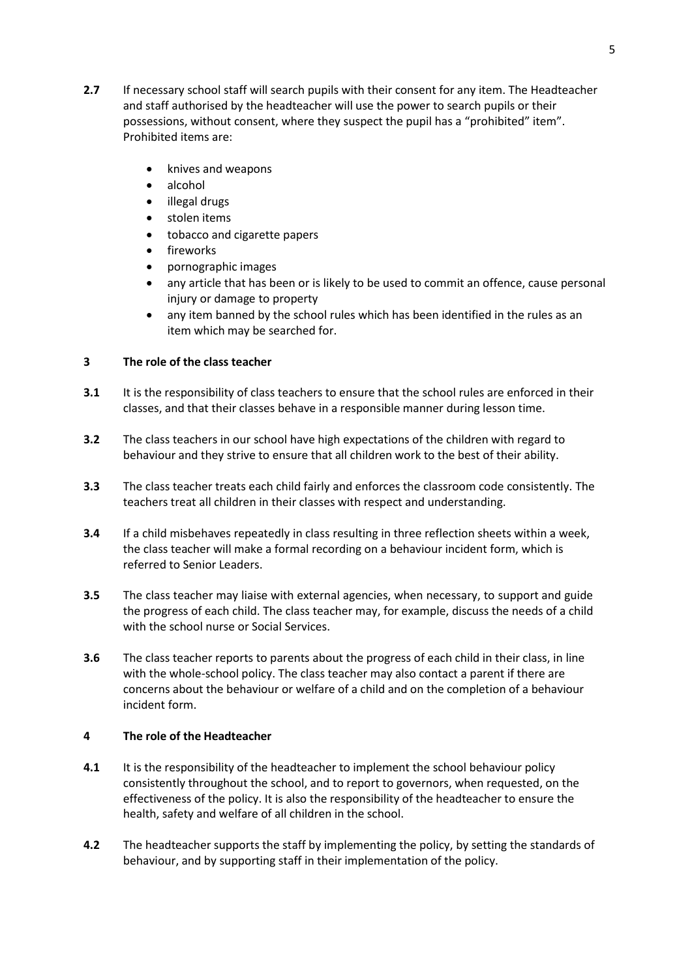- **2.7** If necessary school staff will search pupils with their consent for any item. The Headteacher and staff authorised by the headteacher will use the power to search pupils or their possessions, without consent, where they suspect the pupil has a "prohibited" item". Prohibited items are:
	- knives and weapons
	- alcohol
	- illegal drugs
	- stolen items
	- tobacco and cigarette papers
	- fireworks
	- pornographic images
	- any article that has been or is likely to be used to commit an offence, cause personal injury or damage to property
	- any item banned by the school rules which has been identified in the rules as an item which may be searched for.

### **3 The role of the class teacher**

- **3.1** It is the responsibility of class teachers to ensure that the school rules are enforced in their classes, and that their classes behave in a responsible manner during lesson time.
- **3.2** The class teachers in our school have high expectations of the children with regard to behaviour and they strive to ensure that all children work to the best of their ability.
- **3.3** The class teacher treats each child fairly and enforces the classroom code consistently. The teachers treat all children in their classes with respect and understanding.
- **3.4** If a child misbehaves repeatedly in class resulting in three reflection sheets within a week, the class teacher will make a formal recording on a behaviour incident form, which is referred to Senior Leaders.
- **3.5** The class teacher may liaise with external agencies, when necessary, to support and guide the progress of each child. The class teacher may, for example, discuss the needs of a child with the school nurse or Social Services.
- **3.6** The class teacher reports to parents about the progress of each child in their class, in line with the whole-school policy. The class teacher may also contact a parent if there are concerns about the behaviour or welfare of a child and on the completion of a behaviour incident form.

### **4 The role of the Headteacher**

- **4.1** It is the responsibility of the headteacher to implement the school behaviour policy consistently throughout the school, and to report to governors, when requested, on the effectiveness of the policy. It is also the responsibility of the headteacher to ensure the health, safety and welfare of all children in the school.
- **4.2** The headteacher supports the staff by implementing the policy, by setting the standards of behaviour, and by supporting staff in their implementation of the policy.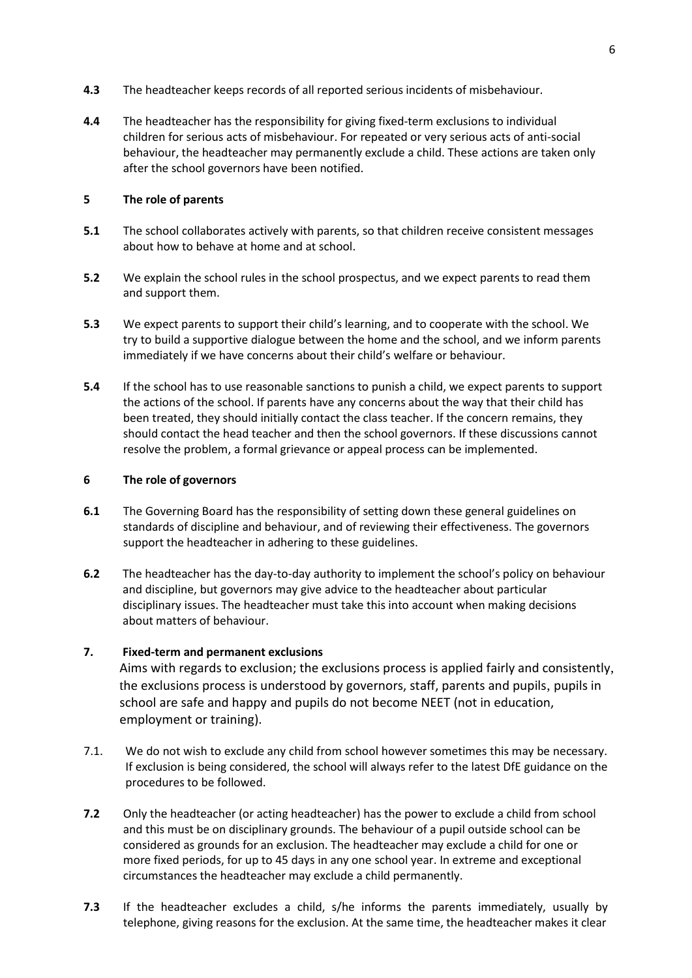- **4.3** The headteacher keeps records of all reported serious incidents of misbehaviour.
- **4.4** The headteacher has the responsibility for giving fixed-term exclusions to individual children for serious acts of misbehaviour. For repeated or very serious acts of anti-social behaviour, the headteacher may permanently exclude a child. These actions are taken only after the school governors have been notified.

### **5 The role of parents**

- **5.1** The school collaborates actively with parents, so that children receive consistent messages about how to behave at home and at school.
- **5.2** We explain the school rules in the school prospectus, and we expect parents to read them and support them.
- **5.3** We expect parents to support their child's learning, and to cooperate with the school. We try to build a supportive dialogue between the home and the school, and we inform parents immediately if we have concerns about their child's welfare or behaviour.
- **5.4** If the school has to use reasonable sanctions to punish a child, we expect parents to support the actions of the school. If parents have any concerns about the way that their child has been treated, they should initially contact the class teacher. If the concern remains, they should contact the head teacher and then the school governors. If these discussions cannot resolve the problem, a formal grievance or appeal process can be implemented.

### **6 The role of governors**

- **6.1** The Governing Board has the responsibility of setting down these general guidelines on standards of discipline and behaviour, and of reviewing their effectiveness. The governors support the headteacher in adhering to these guidelines.
- **6.2** The headteacher has the day-to-day authority to implement the school's policy on behaviour and discipline, but governors may give advice to the headteacher about particular disciplinary issues. The headteacher must take this into account when making decisions about matters of behaviour.

## **7. Fixed-term and permanent exclusions**

Aims with regards to exclusion; the exclusions process is applied fairly and consistently, the exclusions process is understood by governors, staff, parents and pupils, pupils in school are safe and happy and pupils do not become NEET (not in education, employment or training).

- 7.1. We do not wish to exclude any child from school however sometimes this may be necessary. If exclusion is being considered, the school will always refer to the latest DfE guidance on the procedures to be followed.
- **7.2** Only the headteacher (or acting headteacher) has the power to exclude a child from school and this must be on disciplinary grounds. The behaviour of a pupil outside school can be considered as grounds for an exclusion. The headteacher may exclude a child for one or more fixed periods, for up to 45 days in any one school year. In extreme and exceptional circumstances the headteacher may exclude a child permanently.
- **7.3** If the headteacher excludes a child, s/he informs the parents immediately, usually by telephone, giving reasons for the exclusion. At the same time, the headteacher makes it clear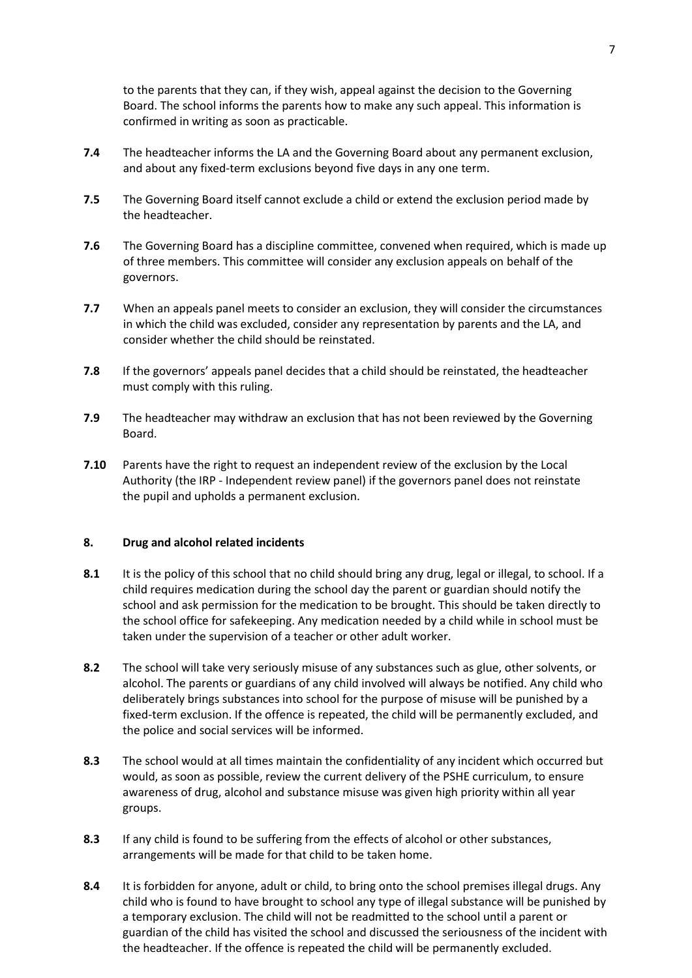to the parents that they can, if they wish, appeal against the decision to the Governing Board. The school informs the parents how to make any such appeal. This information is confirmed in writing as soon as practicable.

- **7.4** The headteacher informs the LA and the Governing Board about any permanent exclusion, and about any fixed-term exclusions beyond five days in any one term.
- **7.5** The Governing Board itself cannot exclude a child or extend the exclusion period made by the headteacher.
- **7.6** The Governing Board has a discipline committee, convened when required, which is made up of three members. This committee will consider any exclusion appeals on behalf of the governors.
- **7.7** When an appeals panel meets to consider an exclusion, they will consider the circumstances in which the child was excluded, consider any representation by parents and the LA, and consider whether the child should be reinstated.
- **7.8** If the governors' appeals panel decides that a child should be reinstated, the headteacher must comply with this ruling.
- **7.9** The headteacher may withdraw an exclusion that has not been reviewed by the Governing Board.
- **7.10** Parents have the right to request an independent review of the exclusion by the Local Authority (the IRP - Independent review panel) if the governors panel does not reinstate the pupil and upholds a permanent exclusion.

## **8. Drug and alcohol related incidents**

- **8.1** It is the policy of this school that no child should bring any drug, legal or illegal, to school. If a child requires medication during the school day the parent or guardian should notify the school and ask permission for the medication to be brought. This should be taken directly to the school office for safekeeping. Any medication needed by a child while in school must be taken under the supervision of a teacher or other adult worker.
- **8.2** The school will take very seriously misuse of any substances such as glue, other solvents, or alcohol. The parents or guardians of any child involved will always be notified. Any child who deliberately brings substances into school for the purpose of misuse will be punished by a fixed-term exclusion. If the offence is repeated, the child will be permanently excluded, and the police and social services will be informed.
- **8.3** The school would at all times maintain the confidentiality of any incident which occurred but would, as soon as possible, review the current delivery of the PSHE curriculum, to ensure awareness of drug, alcohol and substance misuse was given high priority within all year groups.
- **8.3** If any child is found to be suffering from the effects of alcohol or other substances, arrangements will be made for that child to be taken home.
- **8.4** It is forbidden for anyone, adult or child, to bring onto the school premises illegal drugs. Any child who is found to have brought to school any type of illegal substance will be punished by a temporary exclusion. The child will not be readmitted to the school until a parent or guardian of the child has visited the school and discussed the seriousness of the incident with the headteacher. If the offence is repeated the child will be permanently excluded.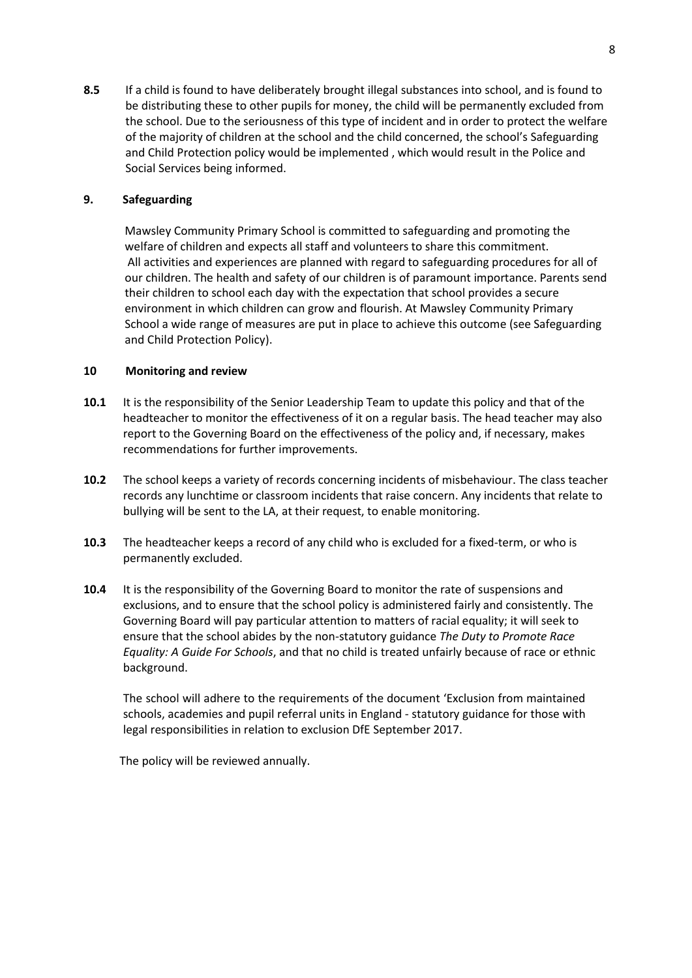**8.5** If a child is found to have deliberately brought illegal substances into school, and is found to be distributing these to other pupils for money, the child will be permanently excluded from the school. Due to the seriousness of this type of incident and in order to protect the welfare of the majority of children at the school and the child concerned, the school's Safeguarding and Child Protection policy would be implemented , which would result in the Police and Social Services being informed.

## **9. Safeguarding**

Mawsley Community Primary School is committed to safeguarding and promoting the welfare of children and expects all staff and volunteers to share this commitment. All activities and experiences are planned with regard to safeguarding procedures for all of our children. The health and safety of our children is of paramount importance. Parents send their children to school each day with the expectation that school provides a secure environment in which children can grow and flourish. At Mawsley Community Primary School a wide range of measures are put in place to achieve this outcome (see Safeguarding and Child Protection Policy).

### **10 Monitoring and review**

- **10.1** It is the responsibility of the Senior Leadership Team to update this policy and that of the headteacher to monitor the effectiveness of it on a regular basis. The head teacher may also report to the Governing Board on the effectiveness of the policy and, if necessary, makes recommendations for further improvements.
- **10.2** The school keeps a variety of records concerning incidents of misbehaviour. The class teacher records any lunchtime or classroom incidents that raise concern. Any incidents that relate to bullying will be sent to the LA, at their request, to enable monitoring.
- **10.3** The headteacher keeps a record of any child who is excluded for a fixed-term, or who is permanently excluded.
- **10.4** It is the responsibility of the Governing Board to monitor the rate of suspensions and exclusions, and to ensure that the school policy is administered fairly and consistently. The Governing Board will pay particular attention to matters of racial equality; it will seek to ensure that the school abides by the non-statutory guidance *The Duty to Promote Race Equality: A Guide For Schools*, and that no child is treated unfairly because of race or ethnic background.

The school will adhere to the requirements of the document 'Exclusion from maintained schools, academies and pupil referral units in England - statutory guidance for those with legal responsibilities in relation to exclusion DfE September 2017.

The policy will be reviewed annually.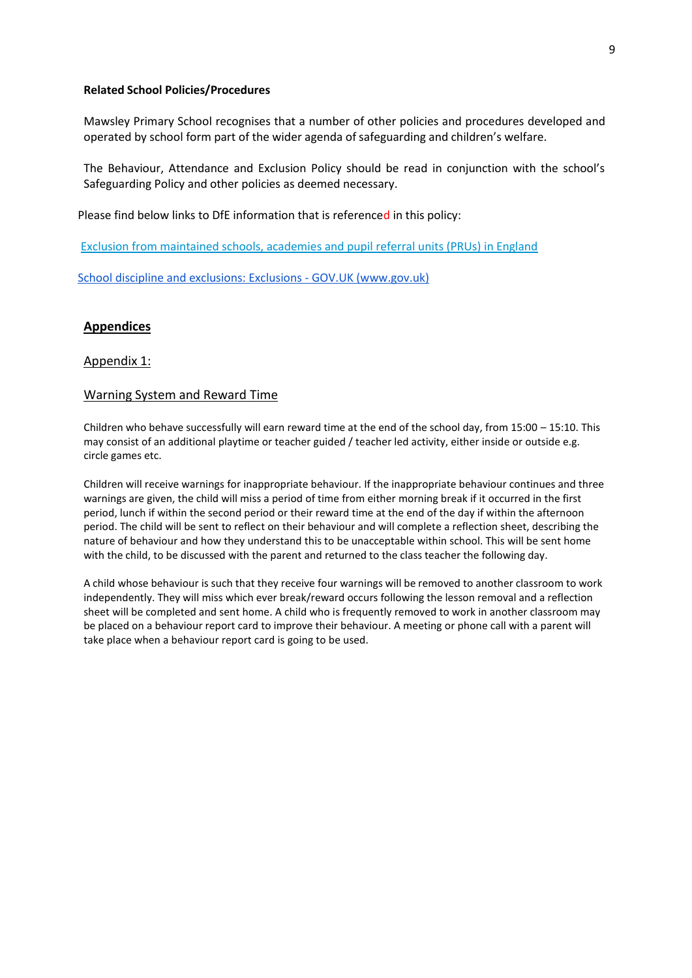#### **Related School Policies/Procedures**

Mawsley Primary School recognises that a number of other policies and procedures developed and operated by school form part of the wider agenda of safeguarding and children's welfare.

The Behaviour, Attendance and Exclusion Policy should be read in conjunction with the school's Safeguarding Policy and other policies as deemed necessary.

Please find below links to DfE information that is referenced in this policy:

[Exclusion from maintained schools, academies and pupil referral units \(PRUs\) in England](https://www.gov.uk/government/publications/school-exclusion)

[School discipline and exclusions: Exclusions -](https://www.gov.uk/school-discipline-exclusions/exclusions) GOV.UK (www.gov.uk)

## **Appendices**

#### Appendix 1:

#### Warning System and Reward Time

Children who behave successfully will earn reward time at the end of the school day, from 15:00 – 15:10. This may consist of an additional playtime or teacher guided / teacher led activity, either inside or outside e.g. circle games etc.

Children will receive warnings for inappropriate behaviour. If the inappropriate behaviour continues and three warnings are given, the child will miss a period of time from either morning break if it occurred in the first period, lunch if within the second period or their reward time at the end of the day if within the afternoon period. The child will be sent to reflect on their behaviour and will complete a reflection sheet, describing the nature of behaviour and how they understand this to be unacceptable within school. This will be sent home with the child, to be discussed with the parent and returned to the class teacher the following day.

A child whose behaviour is such that they receive four warnings will be removed to another classroom to work independently. They will miss which ever break/reward occurs following the lesson removal and a reflection sheet will be completed and sent home. A child who is frequently removed to work in another classroom may be placed on a behaviour report card to improve their behaviour. A meeting or phone call with a parent will take place when a behaviour report card is going to be used.